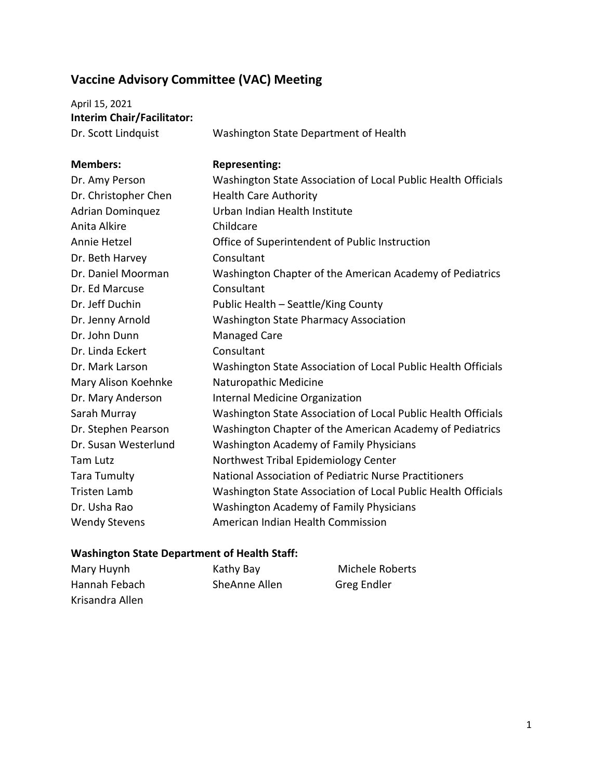## **Vaccine Advisory Committee (VAC) Meeting**

April 15, 2021 **Interim Chair/Facilitator:**

Dr. Scott Lindquist Washington State Department of Health

| <b>Members:</b>         | <b>Representing:</b>                                          |
|-------------------------|---------------------------------------------------------------|
| Dr. Amy Person          | Washington State Association of Local Public Health Officials |
| Dr. Christopher Chen    | <b>Health Care Authority</b>                                  |
| <b>Adrian Dominquez</b> | Urban Indian Health Institute                                 |
| Anita Alkire            | Childcare                                                     |
| Annie Hetzel            | Office of Superintendent of Public Instruction                |
| Dr. Beth Harvey         | Consultant                                                    |
| Dr. Daniel Moorman      | Washington Chapter of the American Academy of Pediatrics      |
| Dr. Ed Marcuse          | Consultant                                                    |
| Dr. Jeff Duchin         | Public Health - Seattle/King County                           |
| Dr. Jenny Arnold        | <b>Washington State Pharmacy Association</b>                  |
| Dr. John Dunn           | Managed Care                                                  |
| Dr. Linda Eckert        | Consultant                                                    |
| Dr. Mark Larson         | Washington State Association of Local Public Health Officials |
| Mary Alison Koehnke     | Naturopathic Medicine                                         |
| Dr. Mary Anderson       | Internal Medicine Organization                                |
| Sarah Murray            | Washington State Association of Local Public Health Officials |
| Dr. Stephen Pearson     | Washington Chapter of the American Academy of Pediatrics      |
| Dr. Susan Westerlund    | <b>Washington Academy of Family Physicians</b>                |
| <b>Tam Lutz</b>         | Northwest Tribal Epidemiology Center                          |
| <b>Tara Tumulty</b>     | National Association of Pediatric Nurse Practitioners         |
| <b>Tristen Lamb</b>     | Washington State Association of Local Public Health Officials |
| Dr. Usha Rao            | Washington Academy of Family Physicians                       |
| <b>Wendy Stevens</b>    | American Indian Health Commission                             |

## **Washington State Department of Health Staff:**

| Mary Huynh      | Kathy Bay     | Michele Roberts |
|-----------------|---------------|-----------------|
| Hannah Febach   | SheAnne Allen | Greg Endler     |
| Krisandra Allen |               |                 |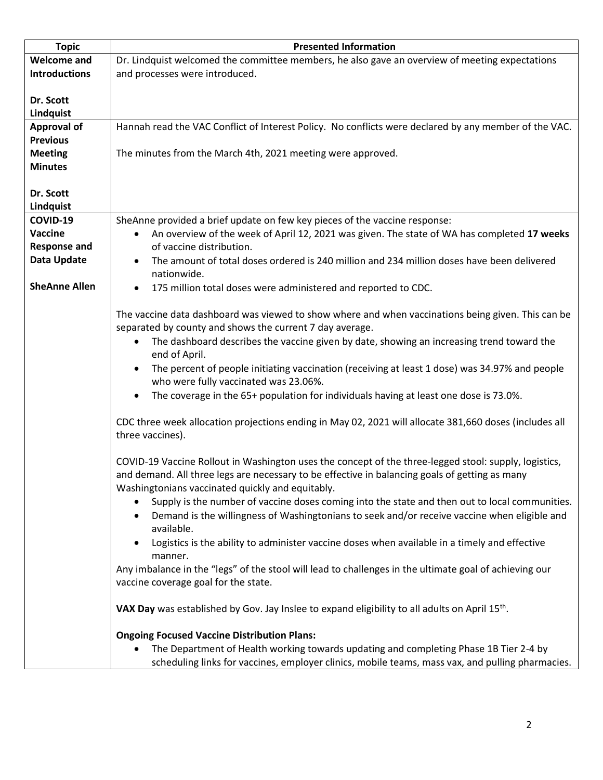| <b>Topic</b>         | <b>Presented Information</b>                                                                               |
|----------------------|------------------------------------------------------------------------------------------------------------|
| <b>Welcome and</b>   | Dr. Lindquist welcomed the committee members, he also gave an overview of meeting expectations             |
| <b>Introductions</b> | and processes were introduced.                                                                             |
|                      |                                                                                                            |
| Dr. Scott            |                                                                                                            |
| Lindquist            |                                                                                                            |
| <b>Approval of</b>   | Hannah read the VAC Conflict of Interest Policy. No conflicts were declared by any member of the VAC.      |
| <b>Previous</b>      |                                                                                                            |
| <b>Meeting</b>       | The minutes from the March 4th, 2021 meeting were approved.                                                |
| <b>Minutes</b>       |                                                                                                            |
|                      |                                                                                                            |
| Dr. Scott            |                                                                                                            |
| Lindquist            |                                                                                                            |
| COVID-19             | SheAnne provided a brief update on few key pieces of the vaccine response:                                 |
| Vaccine              | An overview of the week of April 12, 2021 was given. The state of WA has completed 17 weeks<br>$\bullet$   |
| <b>Response and</b>  | of vaccine distribution.                                                                                   |
| Data Update          | The amount of total doses ordered is 240 million and 234 million doses have been delivered<br>nationwide.  |
| <b>SheAnne Allen</b> | 175 million total doses were administered and reported to CDC.                                             |
|                      |                                                                                                            |
|                      | The vaccine data dashboard was viewed to show where and when vaccinations being given. This can be         |
|                      | separated by county and shows the current 7 day average.                                                   |
|                      | The dashboard describes the vaccine given by date, showing an increasing trend toward the<br>$\bullet$     |
|                      | end of April.                                                                                              |
|                      | The percent of people initiating vaccination (receiving at least 1 dose) was 34.97% and people             |
|                      | who were fully vaccinated was 23.06%.                                                                      |
|                      | The coverage in the 65+ population for individuals having at least one dose is 73.0%.<br>$\bullet$         |
|                      |                                                                                                            |
|                      | CDC three week allocation projections ending in May 02, 2021 will allocate 381,660 doses (includes all     |
|                      | three vaccines).                                                                                           |
|                      |                                                                                                            |
|                      | COVID-19 Vaccine Rollout in Washington uses the concept of the three-legged stool: supply, logistics,      |
|                      | and demand. All three legs are necessary to be effective in balancing goals of getting as many             |
|                      | Washingtonians vaccinated quickly and equitably.                                                           |
|                      | Supply is the number of vaccine doses coming into the state and then out to local communities.             |
|                      | Demand is the willingness of Washingtonians to seek and/or receive vaccine when eligible and               |
|                      | available.                                                                                                 |
|                      | Logistics is the ability to administer vaccine doses when available in a timely and effective              |
|                      | manner.                                                                                                    |
|                      | Any imbalance in the "legs" of the stool will lead to challenges in the ultimate goal of achieving our     |
|                      | vaccine coverage goal for the state.                                                                       |
|                      |                                                                                                            |
|                      | VAX Day was established by Gov. Jay Inslee to expand eligibility to all adults on April 15 <sup>th</sup> . |
|                      |                                                                                                            |
|                      | <b>Ongoing Focused Vaccine Distribution Plans:</b>                                                         |
|                      | The Department of Health working towards updating and completing Phase 1B Tier 2-4 by                      |
|                      | scheduling links for vaccines, employer clinics, mobile teams, mass vax, and pulling pharmacies.           |
|                      |                                                                                                            |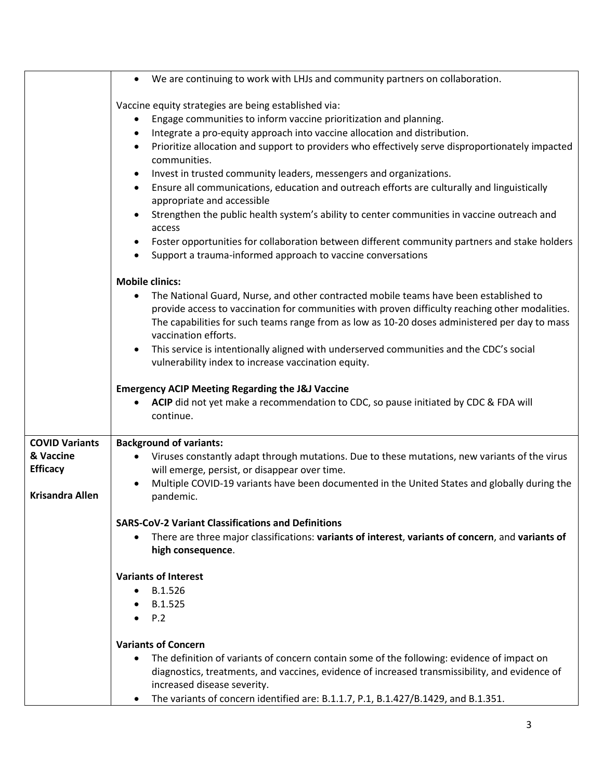|                        | We are continuing to work with LHJs and community partners on collaboration.                                                                                                                                                                                                                                      |
|------------------------|-------------------------------------------------------------------------------------------------------------------------------------------------------------------------------------------------------------------------------------------------------------------------------------------------------------------|
|                        | Vaccine equity strategies are being established via:                                                                                                                                                                                                                                                              |
|                        | Engage communities to inform vaccine prioritization and planning.                                                                                                                                                                                                                                                 |
|                        | Integrate a pro-equity approach into vaccine allocation and distribution.<br>٠                                                                                                                                                                                                                                    |
|                        | Prioritize allocation and support to providers who effectively serve disproportionately impacted<br>$\bullet$<br>communities.                                                                                                                                                                                     |
|                        | Invest in trusted community leaders, messengers and organizations.<br>٠                                                                                                                                                                                                                                           |
|                        | Ensure all communications, education and outreach efforts are culturally and linguistically<br>appropriate and accessible                                                                                                                                                                                         |
|                        | Strengthen the public health system's ability to center communities in vaccine outreach and<br>access                                                                                                                                                                                                             |
|                        | Foster opportunities for collaboration between different community partners and stake holders                                                                                                                                                                                                                     |
|                        | Support a trauma-informed approach to vaccine conversations                                                                                                                                                                                                                                                       |
|                        | <b>Mobile clinics:</b>                                                                                                                                                                                                                                                                                            |
|                        | The National Guard, Nurse, and other contracted mobile teams have been established to<br>provide access to vaccination for communities with proven difficulty reaching other modalities.<br>The capabilities for such teams range from as low as 10-20 doses administered per day to mass<br>vaccination efforts. |
|                        | This service is intentionally aligned with underserved communities and the CDC's social<br>vulnerability index to increase vaccination equity.                                                                                                                                                                    |
|                        | <b>Emergency ACIP Meeting Regarding the J&amp;J Vaccine</b>                                                                                                                                                                                                                                                       |
|                        | ACIP did not yet make a recommendation to CDC, so pause initiated by CDC & FDA will<br>continue.                                                                                                                                                                                                                  |
| <b>COVID Variants</b>  | <b>Background of variants:</b>                                                                                                                                                                                                                                                                                    |
| & Vaccine              | Viruses constantly adapt through mutations. Due to these mutations, new variants of the virus                                                                                                                                                                                                                     |
| <b>Efficacy</b>        | will emerge, persist, or disappear over time.                                                                                                                                                                                                                                                                     |
| <b>Krisandra Allen</b> | Multiple COVID-19 variants have been documented in the United States and globally during the<br>pandemic.                                                                                                                                                                                                         |
|                        | <b>SARS-CoV-2 Variant Classifications and Definitions</b>                                                                                                                                                                                                                                                         |
|                        | There are three major classifications: variants of interest, variants of concern, and variants of<br>$\bullet$<br>high consequence.                                                                                                                                                                               |
|                        | <b>Variants of Interest</b>                                                                                                                                                                                                                                                                                       |
|                        | B.1.526<br>٠                                                                                                                                                                                                                                                                                                      |
|                        | B.1.525                                                                                                                                                                                                                                                                                                           |
|                        | P.2                                                                                                                                                                                                                                                                                                               |
|                        | <b>Variants of Concern</b>                                                                                                                                                                                                                                                                                        |
|                        | The definition of variants of concern contain some of the following: evidence of impact on<br>diagnostics, treatments, and vaccines, evidence of increased transmissibility, and evidence of<br>increased disease severity.                                                                                       |
|                        | The variants of concern identified are: B.1.1.7, P.1, B.1.427/B.1429, and B.1.351.                                                                                                                                                                                                                                |